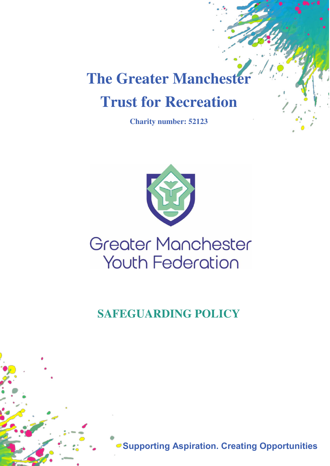# **The Greater Manchester Trust for Recreation**

**Charity number: 52123** 



# **Greater Manchester Youth Federation**

**SAFEGUARDING POLICY** 

**Supporting Aspiration. Creating Opportunities**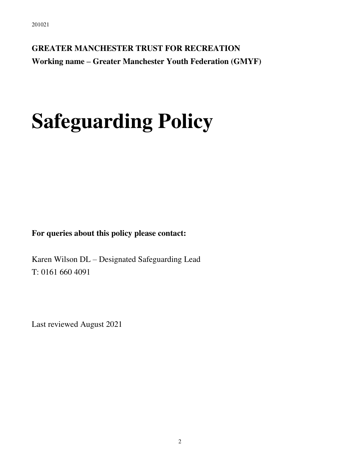**GREATER MANCHESTER TRUST FOR RECREATION Working name – Greater Manchester Youth Federation (GMYF)** 

# **Safeguarding Policy**

**For queries about this policy please contact:** 

Karen Wilson DL – Designated Safeguarding Lead T: 0161 660 4091

Last reviewed August 2021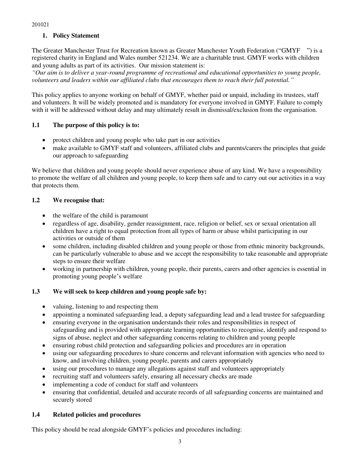# **1. Policy Statement**

The Greater Manchester Trust for Recreation known as Greater Manchester Youth Federation ("GMYF ") is a registered charity in England and Wales number 521234. We are a charitable trust. GMYF works with children and young adults as part of its activities. Our mission statement is:

*"Our aim is to deliver a year-round programme of recreational and educational opportunities to young people, volunteers and leaders within our affiliated clubs that encourages them to reach their full potential."*

This policy applies to anyone working on behalf of GMYF, whether paid or unpaid, including its trustees, staff and volunteers. It will be widely promoted and is mandatory for everyone involved in GMYF. Failure to comply with it will be addressed without delay and may ultimately result in dismissal/exclusion from the organisation.

# **1.1 The purpose of this policy is to:**

- protect children and young people who take part in our activities
- make available to GMYF staff and volunteers, affiliated clubs and parents/carers the principles that guide our approach to safeguarding

We believe that children and young people should never experience abuse of any kind. We have a responsibility to promote the welfare of all children and young people, to keep them safe and to carry out our activities in a way that protects them.

# **1.2 We recognise that:**

- the welfare of the child is paramount
- regardless of age, disability, gender reassignment, race, religion or belief, sex or sexual orientation all children have a right to equal protection from all types of harm or abuse whilst participating in our activities or outside of them
- some children, including disabled children and young people or those from ethnic minority backgrounds, can be particularly vulnerable to abuse and we accept the responsibility to take reasonable and appropriate steps to ensure their welfare
- working in partnership with children, young people, their parents, carers and other agencies is essential in promoting young people's welfare

# **1.3 We will seek to keep children and young people safe by:**

- valuing, listening to and respecting them
- appointing a nominated safeguarding lead, a deputy safeguarding lead and a lead trustee for safeguarding
- ensuring everyone in the organisation understands their roles and responsibilities in respect of safeguarding and is provided with appropriate learning opportunities to recognise, identify and respond to signs of abuse, neglect and other safeguarding concerns relating to children and young people
- ensuring robust child protection and safeguarding policies and procedures are in operation
- using our safeguarding procedures to share concerns and relevant information with agencies who need to know, and involving children, young people, parents and carers appropriately
- using our procedures to manage any allegations against staff and volunteers appropriately
- recruiting staff and volunteers safely, ensuring all necessary checks are made
- implementing a code of conduct for staff and volunteers
- ensuring that confidential, detailed and accurate records of all safeguarding concerns are maintained and securely stored

# **1.4 Related policies and procedures**

This policy should be read alongside GMYF's policies and procedures including: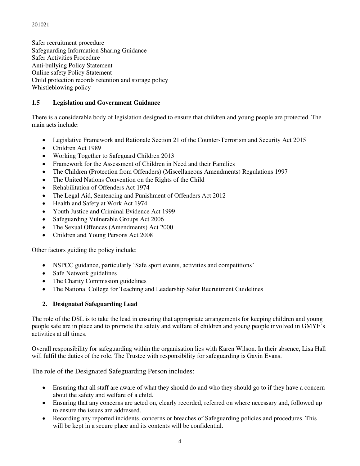Safer recruitment procedure Safeguarding Information Sharing Guidance Safer Activities Procedure Anti-bullying Policy Statement Online safety Policy Statement Child protection records retention and storage policy Whistleblowing policy

# **1.5 Legislation and Government Guidance**

There is a considerable body of legislation designed to ensure that children and young people are protected. The main acts include:

- Legislative Framework and Rationale Section 21 of the Counter-Terrorism and Security Act 2015
- Children Act 1989
- Working Together to Safeguard Children 2013
- Framework for the Assessment of Children in Need and their Families
- The Children (Protection from Offenders) (Miscellaneous Amendments) Regulations 1997
- The United Nations Convention on the Rights of the Child
- Rehabilitation of Offenders Act 1974
- The Legal Aid, Sentencing and Punishment of Offenders Act 2012
- Health and Safety at Work Act 1974
- Youth Justice and Criminal Evidence Act 1999
- Safeguarding Vulnerable Groups Act 2006
- The Sexual Offences (Amendments) Act 2000
- Children and Young Persons Act 2008

Other factors guiding the policy include:

- NSPCC guidance, particularly 'Safe sport events, activities and competitions'
- Safe Network guidelines
- The Charity Commission guidelines
- The National College for Teaching and Leadership Safer Recruitment Guidelines

# **2. Designated Safeguarding Lead**

The role of the DSL is to take the lead in ensuring that appropriate arrangements for keeping children and young people safe are in place and to promote the safety and welfare of children and young people involved in GMYF's activities at all times.

Overall responsibility for safeguarding within the organisation lies with Karen Wilson. In their absence, Lisa Hall will fulfil the duties of the role. The Trustee with responsibility for safeguarding is Gavin Evans.

The role of the Designated Safeguarding Person includes:

- Ensuring that all staff are aware of what they should do and who they should go to if they have a concern about the safety and welfare of a child.
- Ensuring that any concerns are acted on, clearly recorded, referred on where necessary and, followed up to ensure the issues are addressed.
- Recording any reported incidents, concerns or breaches of Safeguarding policies and procedures. This will be kept in a secure place and its contents will be confidential.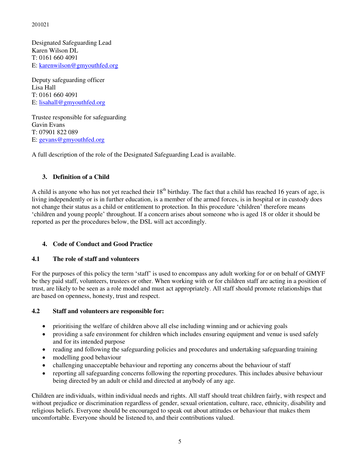Designated Safeguarding Lead Karen Wilson DL T: 0161 660 4091 E: [karenwilson@gmyouthfed.org](mailto:activities@bgcgm.org.uk) 

Deputy safeguarding officer Lisa Hall T: 0161 660 4091 E: [lisahall@gmyouthfed.org](mailto:lisahall@bgcgm.org.uk) 

Trustee responsible for safeguarding Gavin Evans T: 07901 822 089 E: [gevans@gmyouthfed.org](mailto:gevans@gmyouthfed.org)

A full description of the role of the Designated Safeguarding Lead is available.

# **3. Definition of a Child**

A child is anyone who has not yet reached their  $18<sup>th</sup>$  birthday. The fact that a child has reached 16 years of age, is living independently or is in further education, is a member of the armed forces, is in hospital or in custody does not change their status as a child or entitlement to protection. In this procedure 'children' therefore means 'children and young people' throughout. If a concern arises about someone who is aged 18 or older it should be reported as per the procedures below, the DSL will act accordingly.

# **4. Code of Conduct and Good Practice**

# **4.1 The role of staff and volunteers**

For the purposes of this policy the term 'staff' is used to encompass any adult working for or on behalf of GMYF be they paid staff, volunteers, trustees or other. When working with or for children staff are acting in a position of trust, are likely to be seen as a role model and must act appropriately. All staff should promote relationships that are based on openness, honesty, trust and respect.

# **4.2 Staff and volunteers are responsible for:**

- prioritising the welfare of children above all else including winning and or achieving goals
- providing a safe environment for children which includes ensuring equipment and venue is used safely and for its intended purpose
- reading and following the safeguarding policies and procedures and undertaking safeguarding training
- modelling good behaviour
- challenging unacceptable behaviour and reporting any concerns about the behaviour of staff
- reporting all safeguarding concerns following the reporting procedures. This includes abusive behaviour being directed by an adult or child and directed at anybody of any age.

Children are individuals, within individual needs and rights. All staff should treat children fairly, with respect and without prejudice or discrimination regardless of gender, sexual orientation, culture, race, ethnicity, disability and religious beliefs. Everyone should be encouraged to speak out about attitudes or behaviour that makes them uncomfortable. Everyone should be listened to, and their contributions valued.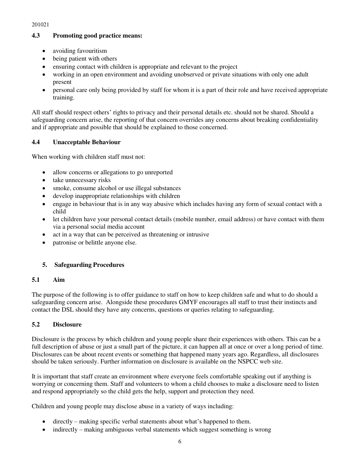# **4.3 Promoting good practice means:**

- avoiding favouritism
- being patient with others
- ensuring contact with children is appropriate and relevant to the project
- working in an open environment and avoiding unobserved or private situations with only one adult present
- personal care only being provided by staff for whom it is a part of their role and have received appropriate training.

All staff should respect others' rights to privacy and their personal details etc. should not be shared. Should a safeguarding concern arise, the reporting of that concern overrides any concerns about breaking confidentiality and if appropriate and possible that should be explained to those concerned.

# **4.4 Unacceptable Behaviour**

When working with children staff must not:

- allow concerns or allegations to go unreported
- take unnecessary risks
- smoke, consume alcohol or use illegal substances
- develop inappropriate relationships with children
- engage in behaviour that is in any way abusive which includes having any form of sexual contact with a child
- let children have your personal contact details (mobile number, email address) or have contact with them via a personal social media account
- act in a way that can be perceived as threatening or intrusive
- patronise or belittle anyone else.

# **5. Safeguarding Procedures**

# **5.1 Aim**

The purpose of the following is to offer guidance to staff on how to keep children safe and what to do should a safeguarding concern arise. Alongside these procedures GMYF encourages all staff to trust their instincts and contact the DSL should they have any concerns, questions or queries relating to safeguarding.

# **5.2 Disclosure**

Disclosure is the process by which children and young people share their experiences with others. This can be a full description of abuse or just a small part of the picture, it can happen all at once or over a long period of time. Disclosures can be about recent events or something that happened many years ago. Regardless, all disclosures should be taken seriously. Further information on disclosure is available on the NSPCC web site.

It is important that staff create an environment where everyone feels comfortable speaking out if anything is worrying or concerning them. Staff and volunteers to whom a child chooses to make a disclosure need to listen and respond appropriately so the child gets the help, support and protection they need.

Children and young people may disclose abuse in a variety of ways including:

- directly making specific verbal statements about what's happened to them.
- indirectly making ambiguous verbal statements which suggest something is wrong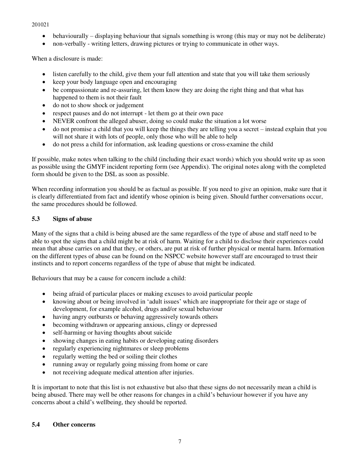- behaviourally displaying behaviour that signals something is wrong (this may or may not be deliberate)
- non-verbally writing letters, drawing pictures or trying to communicate in other ways.

When a disclosure is made:

- listen carefully to the child, give them your full attention and state that you will take them seriously
- keep your body language open and encouraging
- be compassionate and re-assuring, let them know they are doing the right thing and that what has happened to them is not their fault
- do not to show shock or judgement
- respect pauses and do not interrupt let them go at their own pace
- NEVER confront the alleged abuser, doing so could make the situation a lot worse
- do not promise a child that you will keep the things they are telling you a secret instead explain that you will not share it with lots of people, only those who will be able to help
- do not press a child for information, ask leading questions or cross-examine the child

If possible, make notes when talking to the child (including their exact words) which you should write up as soon as possible using the GMYF incident reporting form (see Appendix). The original notes along with the completed form should be given to the DSL as soon as possible.

When recording information you should be as factual as possible. If you need to give an opinion, make sure that it is clearly differentiated from fact and identify whose opinion is being given. Should further conversations occur, the same procedures should be followed.

#### **5.3 Signs of abuse**

Many of the signs that a child is being abused are the same regardless of the type of abuse and staff need to be able to spot the signs that a child might be at risk of harm. Waiting for a child to disclose their experiences could mean that abuse carries on and that they, or others, are put at risk of further physical or mental harm. Information on the different types of abuse can be found on the NSPCC website however staff are encouraged to trust their instincts and to report concerns regardless of the type of abuse that might be indicated.

Behaviours that may be a cause for concern include a child:

- being afraid of particular places or making excuses to avoid particular people
- knowing about or being involved in 'adult issues' which are inappropriate for their age or stage of development, for example alcohol, drugs and/or sexual behaviour
- having angry outbursts or behaving aggressively towards others
- becoming withdrawn or appearing anxious, clingy or depressed
- self-harming or having thoughts about suicide
- showing changes in eating habits or developing eating disorders
- regularly experiencing nightmares or sleep problems
- regularly wetting the bed or soiling their clothes
- running away or regularly going missing from home or care
- not receiving adequate medical attention after injuries.

It is important to note that this list is not exhaustive but also that these signs do not necessarily mean a child is being abused. There may well be other reasons for changes in a child's behaviour however if you have any concerns about a child's wellbeing, they should be reported.

#### **5.4 Other concerns**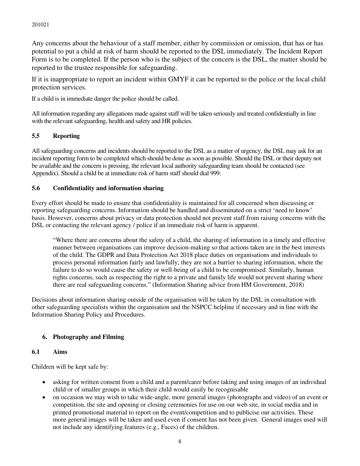Any concerns about the behaviour of a staff member, either by commission or omission, that has or has potential to put a child at risk of harm should be reported to the DSL immediately. The Incident Report Form is to be completed. If the person who is the subject of the concern is the DSL, the matter should be reported to the trustee responsible for safeguarding.

If it is inappropriate to report an incident within GMYF it can be reported to the police or the local child protection services.

If a child is in immediate danger the police should be called.

All information regarding any allegations made against staff will be taken seriously and treated confidentially in line with the relevant safeguarding, health and safety and HR policies.

# **5.5 Reporting**

All safeguarding concerns and incidents should be reported to the DSL as a matter of urgency, the DSL may ask for an incident reporting form to be completed which should be done as soon as possible. Should the DSL or their deputy not be available and the concern is pressing, the relevant local authority safeguarding team should be contacted (see Appendix). Should a child be at immediate risk of harm staff should dial 999.

#### **5.6 Confidentiality and information sharing**

Every effort should be made to ensure that confidentiality is maintained for all concerned when discussing or reporting safeguarding concerns. Information should be handled and disseminated on a strict 'need to know' basis. However, concerns about privacy or data protection should not prevent staff from raising concerns with the DSL or contacting the relevant agency / police if an immediate risk of harm is apparent.

"Where there are concerns about the safety of a child, the sharing of information in a timely and effective manner between organisations can improve decision-making so that actions taken are in the best interests of the child. The GDPR and Data Protection Act 2018 place duties on organisations and individuals to process personal information fairly and lawfully; they are not a barrier to sharing information, where the failure to do so would cause the safety or well-being of a child to be compromised. Similarly, human rights concerns, such as respecting the right to a private and family life would not prevent sharing where there are real safeguarding concerns." (Information Sharing advice from HM Government, 2018)

Decisions about information sharing outside of the organisation will be taken by the DSL in consultation with other safeguarding specialists within the organisation and the NSPCC helpline if necessary and in line with the Information Sharing Policy and Procedures.

# **6. Photography and Filming**

#### **6.1 Aims**

Children will be kept safe by:

- asking for written consent from a child and a parent/carer before taking and using images of an individual child or of smaller groups in which their child would easily be recognisable
- on occasion we may wish to take wide-angle, more general images (photographs and video) of an event or competition, the site and opening or closing ceremonies for use on our web site, in social media and in printed promotional material to report on the event/competition and to publicise our activities. These more general images will be taken and used even if consent has not been given. General images used will not include any identifying features (e.g., Faces) of the children.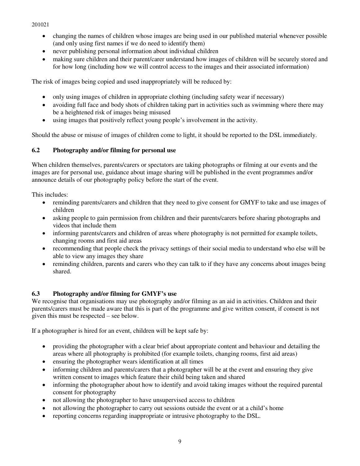- changing the names of children whose images are being used in our published material whenever possible (and only using first names if we do need to identify them)
- never publishing personal information about individual children
- making sure children and their parent/carer understand how images of children will be securely stored and for how long (including how we will control access to the images and their associated information)

The risk of images being copied and used inappropriately will be reduced by:

- only using images of children in appropriate clothing (including safety wear if necessary)
- avoiding full face and body shots of children taking part in activities such as swimming where there may be a heightened risk of images being misused
- using images that positively reflect young people's involvement in the activity.

Should the abuse or misuse of images of children come to light, it should be reported to the DSL immediately.

# **6.2 Photography and/or filming for personal use**

When children themselves, parents/carers or spectators are taking photographs or filming at our events and the images are for personal use, guidance about image sharing will be published in the event programmes and/or announce details of our photography policy before the start of the event.

This includes:

- reminding parents/carers and children that they need to give consent for GMYF to take and use images of children
- asking people to gain permission from children and their parents/carers before sharing photographs and videos that include them
- informing parents/carers and children of areas where photography is not permitted for example toilets, changing rooms and first aid areas
- recommending that people check the privacy settings of their social media to understand who else will be able to view any images they share
- reminding children, parents and carers who they can talk to if they have any concerns about images being shared.

# **6.3 Photography and/or filming for GMYF's use**

We recognise that organisations may use photography and/or filming as an aid in activities. Children and their parents/carers must be made aware that this is part of the programme and give written consent, if consent is not given this must be respected – see below.

If a photographer is hired for an event, children will be kept safe by:

- providing the photographer with a clear brief about appropriate content and behaviour and detailing the areas where all photography is prohibited (for example toilets, changing rooms, first aid areas)
- ensuring the photographer wears identification at all times
- informing children and parents/carers that a photographer will be at the event and ensuring they give written consent to images which feature their child being taken and shared
- informing the photographer about how to identify and avoid taking images without the required parental consent for photography
- not allowing the photographer to have unsupervised access to children
- not allowing the photographer to carry out sessions outside the event or at a child's home
- reporting concerns regarding inappropriate or intrusive photography to the DSL.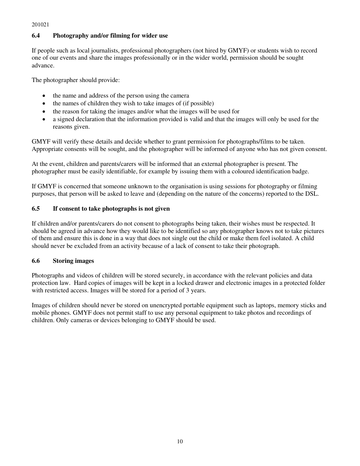# **6.4 Photography and/or filming for wider use**

If people such as local journalists, professional photographers (not hired by GMYF) or students wish to record one of our events and share the images professionally or in the wider world, permission should be sought advance.

The photographer should provide:

- the name and address of the person using the camera
- the names of children they wish to take images of (if possible)
- the reason for taking the images and/or what the images will be used for
- a signed declaration that the information provided is valid and that the images will only be used for the reasons given.

GMYF will verify these details and decide whether to grant permission for photographs/films to be taken. Appropriate consents will be sought, and the photographer will be informed of anyone who has not given consent.

At the event, children and parents/carers will be informed that an external photographer is present. The photographer must be easily identifiable, for example by issuing them with a coloured identification badge.

If GMYF is concerned that someone unknown to the organisation is using sessions for photography or filming purposes, that person will be asked to leave and (depending on the nature of the concerns) reported to the DSL.

# **6.5 If consent to take photographs is not given**

If children and/or parents/carers do not consent to photographs being taken, their wishes must be respected. It should be agreed in advance how they would like to be identified so any photographer knows not to take pictures of them and ensure this is done in a way that does not single out the child or make them feel isolated. A child should never be excluded from an activity because of a lack of consent to take their photograph.

# **6.6 Storing images**

Photographs and videos of children will be stored securely, in accordance with the relevant policies and data protection law. Hard copies of images will be kept in a locked drawer and electronic images in a protected folder with restricted access. Images will be stored for a period of 3 years.

Images of children should never be stored on unencrypted portable equipment such as laptops, memory sticks and mobile phones. GMYF does not permit staff to use any personal equipment to take photos and recordings of children. Only cameras or devices belonging to GMYF should be used.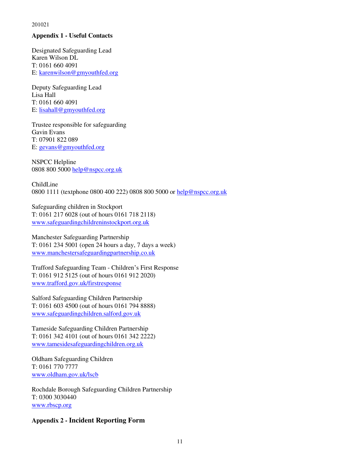#### **Appendix 1 - Useful Contacts**

Designated Safeguarding Lead Karen Wilson DL T: 0161 660 4091 E: [karenwilson@gmyouthfed.org](mailto:activities@bgcgm.org.uk)

Deputy Safeguarding Lead Lisa Hall T: 0161 660 4091 E: [lisahall@gmyouthfed.org](mailto:lisahall@gmyouthfed.org)

Trustee responsible for safeguarding Gavin Evans T: 07901 822 089 E: [gevans@gmyouthfed.org](mailto:gevans@bgcgm.org.uk)

NSPCC Helpline 0808 800 500[0 help@nspcc.org.uk](mailto:help@nspcc.org.uk) 

ChildLine 0800 1111 (textphone 0800 400 222) 0808 800 5000 or [help@nspcc.org.uk](mailto:help@nspcc.org.uk) 

Safeguarding children in Stockport T: 0161 217 6028 (out of hours 0161 718 2118) [www.safeguardingchildreninstockport.org.uk](http://www.safeguardingchildreninstockport.org.uk/) 

Manchester Safeguarding Partnership T: 0161 234 5001 (open 24 hours a day,  $7$  days a week) [www.manchestersafeguardingpartnership.co.uk](http://www.manchestersafeguardingpartnership.co.uk/) 

Trafford Safeguarding Team - Children's First Response T: 0161 912 5125 (out of hours 0161 912 2020) [www.trafford.gov.uk/firstresponse](http://www.trafford.gov.uk/firstresponse) 

Salford Safeguarding Children Partnership T: 0161 603 4500 (out of hours 0161 794 8888) [www.safeguardingchildren.salford.gov.uk](http://www.safeguardingchildren.salford.gov.uk/) 

Tameside Safeguarding Children Partnership T: 0161 342 4101 (out of hours 0161 342 2222) [www.tamesidesafeguardingchildren.org.uk](http://www.tamesidesafeguardingchildren.org.uk/) 

Oldham Safeguarding Children T: 0161 770 7777 [www.oldham.gov.uk/lscb](http://www.oldham.gov.uk/lscb) 

Rochdale Borough Safeguarding Children Partnership T: 0300 3030440 [www.rbscp.org](http://www.rbscp.org/) 

# **Appendix 2 - Incident Reporting Form**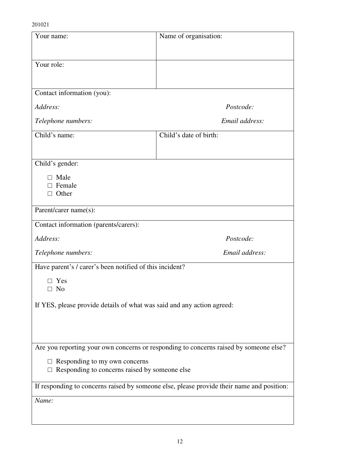| Your name:                                                                                | Name of organisation:  |  |  |
|-------------------------------------------------------------------------------------------|------------------------|--|--|
|                                                                                           |                        |  |  |
| Your role:                                                                                |                        |  |  |
|                                                                                           |                        |  |  |
| Contact information (you):                                                                |                        |  |  |
| Address:                                                                                  | Postcode:              |  |  |
| Telephone numbers:                                                                        | Email address:         |  |  |
| Child's name:                                                                             | Child's date of birth: |  |  |
|                                                                                           |                        |  |  |
| Child's gender:                                                                           |                        |  |  |
| Male<br>Female                                                                            |                        |  |  |
| Other<br>П                                                                                |                        |  |  |
| Parent/carer name(s):                                                                     |                        |  |  |
| Contact information (parents/carers):                                                     |                        |  |  |
| Address:                                                                                  | Postcode:              |  |  |
| Telephone numbers:                                                                        | Email address:         |  |  |
| Have parent's / carer's been notified of this incident?                                   |                        |  |  |
| Yes                                                                                       |                        |  |  |
| N <sub>0</sub>                                                                            |                        |  |  |
| If YES, please provide details of what was said and any action agreed:                    |                        |  |  |
|                                                                                           |                        |  |  |
|                                                                                           |                        |  |  |
| Are you reporting your own concerns or responding to concerns raised by someone else?     |                        |  |  |
| $\Box$ Responding to my own concerns<br>Responding to concerns raised by someone else     |                        |  |  |
| If responding to concerns raised by someone else, please provide their name and position: |                        |  |  |
| Name:                                                                                     |                        |  |  |
|                                                                                           |                        |  |  |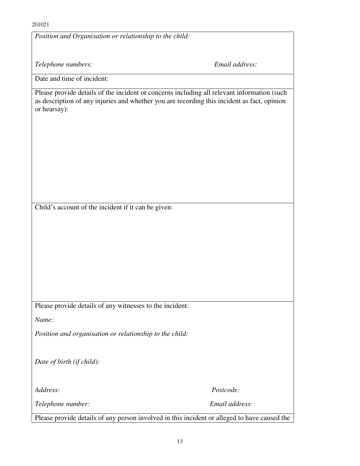| Position and Organisation or relationship to the child:  |                                                                                                                                                                                            |  |  |  |
|----------------------------------------------------------|--------------------------------------------------------------------------------------------------------------------------------------------------------------------------------------------|--|--|--|
|                                                          |                                                                                                                                                                                            |  |  |  |
| Telephone numbers:                                       | Email address:                                                                                                                                                                             |  |  |  |
| Date and time of incident:                               |                                                                                                                                                                                            |  |  |  |
| or hearsay):                                             | Please provide details of the incident or concerns including all relevant information (such<br>as description of any injuries and whether you are recording this incident as fact, opinion |  |  |  |
| Child's account of the incident if it can be given:      |                                                                                                                                                                                            |  |  |  |
|                                                          |                                                                                                                                                                                            |  |  |  |
|                                                          |                                                                                                                                                                                            |  |  |  |
|                                                          |                                                                                                                                                                                            |  |  |  |
|                                                          |                                                                                                                                                                                            |  |  |  |
|                                                          |                                                                                                                                                                                            |  |  |  |
|                                                          |                                                                                                                                                                                            |  |  |  |
| Please provide details of any witnesses to the incident: |                                                                                                                                                                                            |  |  |  |
| Name:                                                    |                                                                                                                                                                                            |  |  |  |
| Position and organisation or relationship to the child:  |                                                                                                                                                                                            |  |  |  |
| Date of birth (if child):                                |                                                                                                                                                                                            |  |  |  |
| Address:                                                 | Postcode:                                                                                                                                                                                  |  |  |  |
| Telephone number:                                        | Email address:                                                                                                                                                                             |  |  |  |
|                                                          | Please provide details of any person involved in this incident or alleged to have caused the                                                                                               |  |  |  |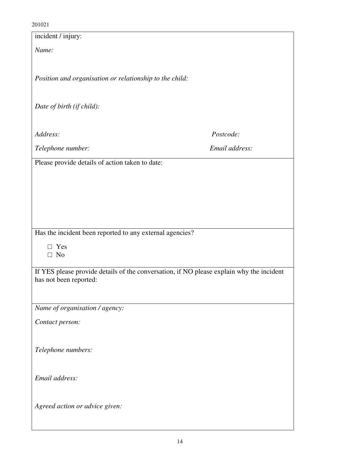| incident / injury:                                                                                                 |                |  |  |
|--------------------------------------------------------------------------------------------------------------------|----------------|--|--|
| Name:                                                                                                              |                |  |  |
|                                                                                                                    |                |  |  |
|                                                                                                                    |                |  |  |
| Position and organisation or relationship to the child:                                                            |                |  |  |
|                                                                                                                    |                |  |  |
| Date of birth (if child):                                                                                          |                |  |  |
|                                                                                                                    |                |  |  |
| Address:                                                                                                           | Postcode:      |  |  |
| Telephone number:                                                                                                  | Email address: |  |  |
|                                                                                                                    |                |  |  |
| Please provide details of action taken to date:                                                                    |                |  |  |
|                                                                                                                    |                |  |  |
|                                                                                                                    |                |  |  |
|                                                                                                                    |                |  |  |
|                                                                                                                    |                |  |  |
| Has the incident been reported to any external agencies?                                                           |                |  |  |
| Yes<br>П                                                                                                           |                |  |  |
| $\Box$ No                                                                                                          |                |  |  |
|                                                                                                                    |                |  |  |
| If YES please provide details of the conversation, if NO please explain why the incident<br>has not been reported: |                |  |  |
|                                                                                                                    |                |  |  |
| Name of organisation / agency:                                                                                     |                |  |  |
|                                                                                                                    |                |  |  |
| Contact person:                                                                                                    |                |  |  |
|                                                                                                                    |                |  |  |
| Telephone numbers:                                                                                                 |                |  |  |
|                                                                                                                    |                |  |  |
| Email address:                                                                                                     |                |  |  |
|                                                                                                                    |                |  |  |
|                                                                                                                    |                |  |  |
| Agreed action or advice given:                                                                                     |                |  |  |
|                                                                                                                    |                |  |  |